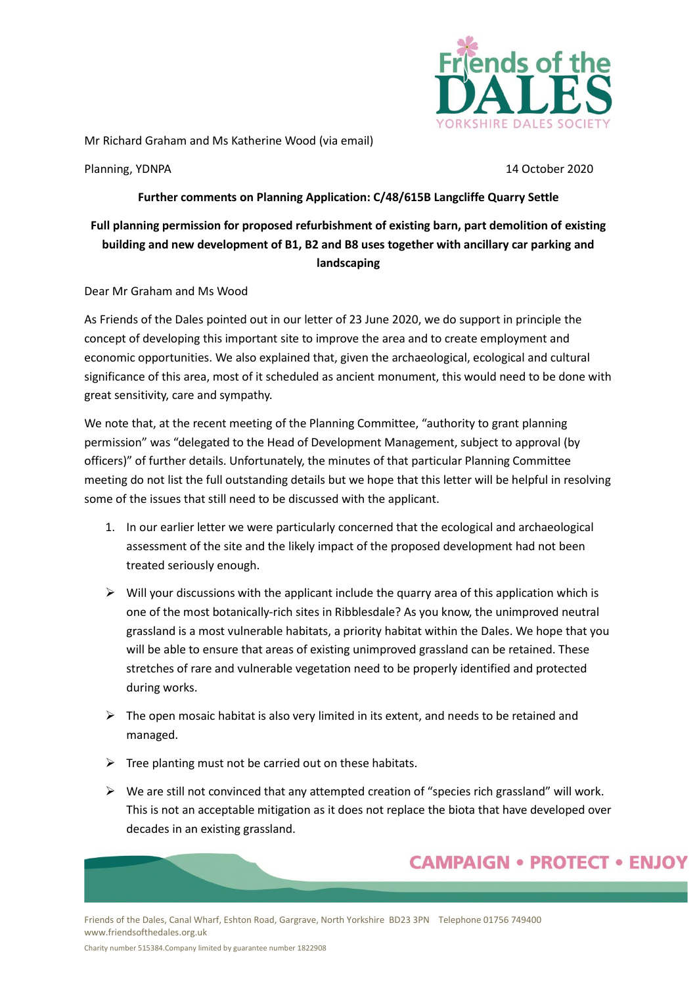

Mr Richard Graham and Ms Katherine Wood (via email)

Planning, YDNPA 14 October 2020

## **Further comments on Planning Application: C/48/615B Langcliffe Quarry Settle**

## **Full planning permission for proposed refurbishment of existing barn, part demolition of existing building and new development of B1, B2 and B8 uses together with ancillary car parking and landscaping**

Dear Mr Graham and Ms Wood

As Friends of the Dales pointed out in our letter of 23 June 2020, we do support in principle the concept of developing this important site to improve the area and to create employment and economic opportunities. We also explained that, given the archaeological, ecological and cultural significance of this area, most of it scheduled as ancient monument, this would need to be done with great sensitivity, care and sympathy.

We note that, at the recent meeting of the Planning Committee, "authority to grant planning permission" was "delegated to the Head of Development Management, subject to approval (by officers)" of further details. Unfortunately, the minutes of that particular Planning Committee meeting do not list the full outstanding details but we hope that this letter will be helpful in resolving some of the issues that still need to be discussed with the applicant.

- 1. In our earlier letter we were particularly concerned that the ecological and archaeological assessment of the site and the likely impact of the proposed development had not been treated seriously enough.
- $\triangleright$  Will your discussions with the applicant include the quarry area of this application which is one of the most botanically-rich sites in Ribblesdale? As you know, the unimproved neutral grassland is a most vulnerable habitats, a priority habitat within the Dales. We hope that you will be able to ensure that areas of existing unimproved grassland can be retained. These stretches of rare and vulnerable vegetation need to be properly identified and protected during works.
- $\triangleright$  The open mosaic habitat is also very limited in its extent, and needs to be retained and managed.
- $\triangleright$  Tree planting must not be carried out on these habitats.
- $\triangleright$  We are still not convinced that any attempted creation of "species rich grassland" will work. This is not an acceptable mitigation as it does not replace the biota that have developed over decades in an existing grassland.

## **CAMPAIGN • PROTECT • ENJOY**

Friends of the Dales, Canal Wharf, Eshton Road, Gargrave, North Yorkshire BD23 3PN Telephone 01756 749400 www.friendsofthedales.org.uk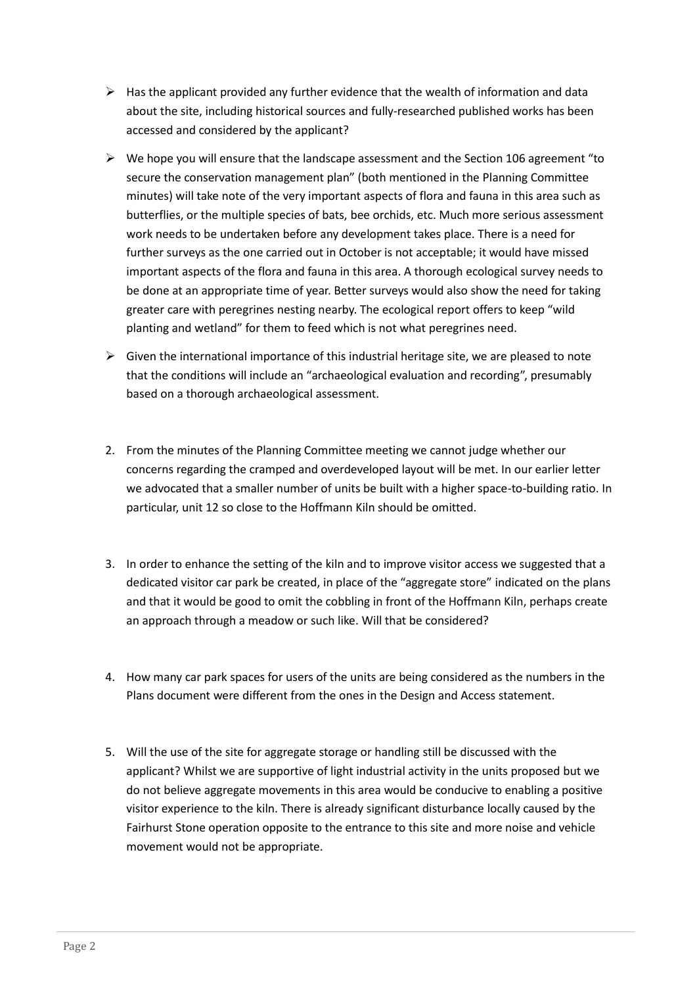- $\triangleright$  Has the applicant provided any further evidence that the wealth of information and data about the site, including historical sources and fully-researched published works has been accessed and considered by the applicant?
- $\triangleright$  We hope you will ensure that the landscape assessment and the Section 106 agreement "to" secure the conservation management plan" (both mentioned in the Planning Committee minutes) will take note of the very important aspects of flora and fauna in this area such as butterflies, or the multiple species of bats, bee orchids, etc. Much more serious assessment work needs to be undertaken before any development takes place. There is a need for further surveys as the one carried out in October is not acceptable; it would have missed important aspects of the flora and fauna in this area. A thorough ecological survey needs to be done at an appropriate time of year. Better surveys would also show the need for taking greater care with peregrines nesting nearby. The ecological report offers to keep "wild planting and wetland" for them to feed which is not what peregrines need.
- $\triangleright$  Given the international importance of this industrial heritage site, we are pleased to note that the conditions will include an "archaeological evaluation and recording", presumably based on a thorough archaeological assessment.
- 2. From the minutes of the Planning Committee meeting we cannot judge whether our concerns regarding the cramped and overdeveloped layout will be met. In our earlier letter we advocated that a smaller number of units be built with a higher space-to-building ratio. In particular, unit 12 so close to the Hoffmann Kiln should be omitted.
- 3. In order to enhance the setting of the kiln and to improve visitor access we suggested that a dedicated visitor car park be created, in place of the "aggregate store" indicated on the plans and that it would be good to omit the cobbling in front of the Hoffmann Kiln, perhaps create an approach through a meadow or such like. Will that be considered?
- 4. How many car park spaces for users of the units are being considered as the numbers in the Plans document were different from the ones in the Design and Access statement.
- 5. Will the use of the site for aggregate storage or handling still be discussed with the applicant? Whilst we are supportive of light industrial activity in the units proposed but we do not believe aggregate movements in this area would be conducive to enabling a positive visitor experience to the kiln. There is already significant disturbance locally caused by the Fairhurst Stone operation opposite to the entrance to this site and more noise and vehicle movement would not be appropriate.